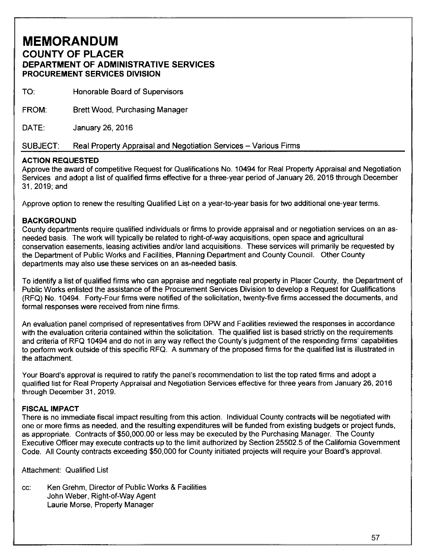# **MEMORANDUM COUNTY OF PLACER DEPARTMENT OF ADMINISTRATIVE SERVICES PROCUREMENT SERVICES DIVISION**

| <b>PROCUREMENT SERVICES DIVISION</b> |                                                                  |  |
|--------------------------------------|------------------------------------------------------------------|--|
| TO:                                  | Honorable Board of Supervisors                                   |  |
| FROM.                                | <b>Brett Wood, Purchasing Manager</b>                            |  |
| DATE:                                | January 26, 2016                                                 |  |
| <b>SUBJECT:</b>                      | Real Property Appraisal and Negotiation Services – Various Firms |  |

#### **ACTION REQUESTED**

Approve the award of competitive Request for Qualifications No. 10494 for Real Property Appraisal and Negotiation Services and adopt a list of qualified firms effective for a three-year period of January 26, 2016 through December 31,2019;and

Approve option to renew the resulting Qualified List on a year-to-year basis for two additional one-year terms.

#### **BACKGROUND**

County departments require qualified individuals or firms to provide appraisal and or negotiation services on an asneeded basis. The work will typically be related to right-of-way acquisitions, open space and agricultural conservation easements, leasing activities and/or land acquisitions. These services will primarily be requested by the Department of Public Works and Facilities, Planning Department and County Council. Other County departments may also use these services on an as-needed basis.

To identify a list of qualified firms who can appraise and negotiate real property in Placer County, the Department of Public Works enlisted the assistance of the Procurement Services Division to develop a Request for Qualifications (RFQ) No. 10494. Forty-Four firms were notified of the solicitation, twenty-five firms accessed the documents, and formal responses were received from nine firms.

An evaluation panel comprised of representatives from DPW and Facilities reviewed the responses in accordance with the evaluation criteria contained within the solicitation. The qualified list is based strictly on the requirements and criteria of RFQ 10494 and do not in any way reflect the County's judgment of the responding firms' capabilities to perform work outside of this specific RFQ. A summary of the proposed firms for the qualified list is illustrated in the attachment.

Your Board's approval is required to ratify the panel's recommendation to list the top rated firms and adopt a qualified list for Real Property Appraisal and Negotiation Services effective for three years from January 26, 2016 through December 31, 2019.

#### **FISCAL IMPACT**

There is no immediate fiscal impact resulting from this action. Individual County contracts will be negotiated with one or more firms as needed, and the resulting expenditures will be funded from existing budgets or project funds, as appropriate. Contracts of \$50,000.00 or less may be executed by the Purchasing Manager. The County Executive Officer may execute contracts up to the limit authorized by Section 25502.5 of the California Government Code. All County contracts exceeding \$50,000 for County initiated projects will require your Board's approval.

Attachment: Qualified List

cc: Ken Grehm, Director of Public Works & Facilities John Weber, Right-of-Way Agent Laurie Morse, Property Manager